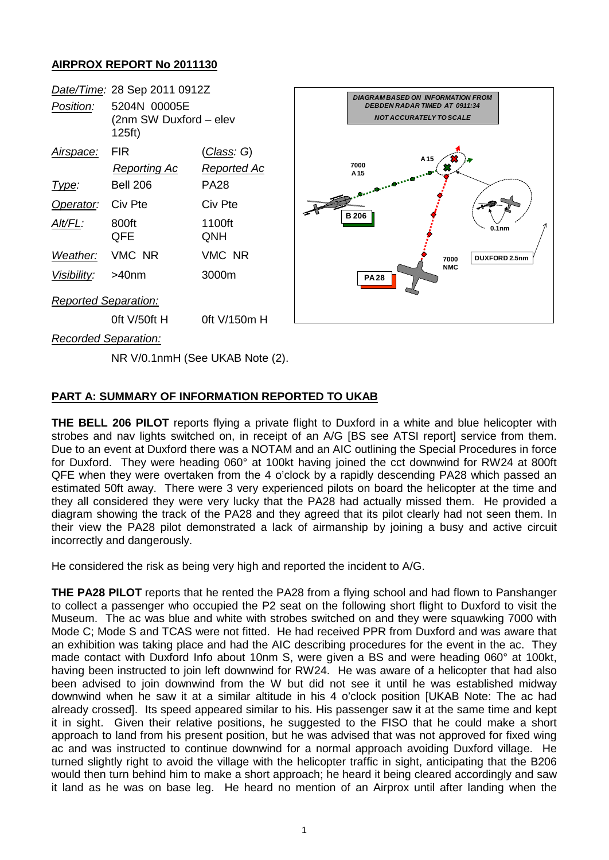## **AIRPROX REPORT No 2011130**



NR V/0.1nmH (See UKAB Note (2).

## **PART A: SUMMARY OF INFORMATION REPORTED TO UKAB**

**THE BELL 206 PILOT** reports flying a private flight to Duxford in a white and blue helicopter with strobes and nav lights switched on, in receipt of an A/G [BS see ATSI report] service from them. Due to an event at Duxford there was a NOTAM and an AIC outlining the Special Procedures in force for Duxford. They were heading 060° at 100kt having joined the cct downwind for RW24 at 800ft QFE when they were overtaken from the 4 o'clock by a rapidly descending PA28 which passed an estimated 50ft away. There were 3 very experienced pilots on board the helicopter at the time and they all considered they were very lucky that the PA28 had actually missed them. He provided a diagram showing the track of the PA28 and they agreed that its pilot clearly had not seen them. In their view the PA28 pilot demonstrated a lack of airmanship by joining a busy and active circuit incorrectly and dangerously.

He considered the risk as being very high and reported the incident to A/G.

**THE PA28 PILOT** reports that he rented the PA28 from a flying school and had flown to Panshanger to collect a passenger who occupied the P2 seat on the following short flight to Duxford to visit the Museum. The ac was blue and white with strobes switched on and they were squawking 7000 with Mode C; Mode S and TCAS were not fitted. He had received PPR from Duxford and was aware that an exhibition was taking place and had the AIC describing procedures for the event in the ac. They made contact with Duxford Info about 10nm S, were given a BS and were heading 060° at 100kt, having been instructed to join left downwind for RW24. He was aware of a helicopter that had also been advised to join downwind from the W but did not see it until he was established midway downwind when he saw it at a similar altitude in his 4 o'clock position [UKAB Note: The ac had already crossed]. Its speed appeared similar to his. His passenger saw it at the same time and kept it in sight. Given their relative positions, he suggested to the FISO that he could make a short approach to land from his present position, but he was advised that was not approved for fixed wing ac and was instructed to continue downwind for a normal approach avoiding Duxford village. He turned slightly right to avoid the village with the helicopter traffic in sight, anticipating that the B206 would then turn behind him to make a short approach; he heard it being cleared accordingly and saw it land as he was on base leg. He heard no mention of an Airprox until after landing when the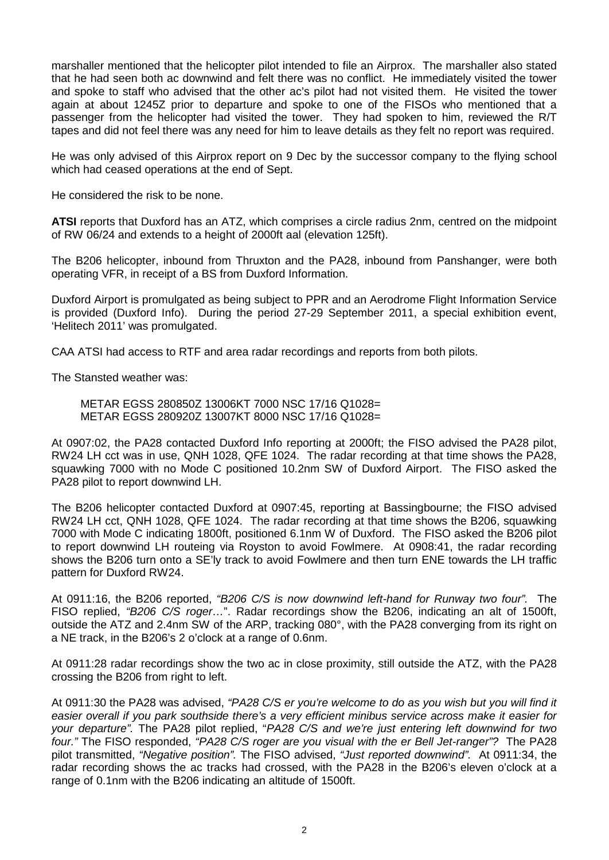marshaller mentioned that the helicopter pilot intended to file an Airprox. The marshaller also stated that he had seen both ac downwind and felt there was no conflict. He immediately visited the tower and spoke to staff who advised that the other ac's pilot had not visited them. He visited the tower again at about 1245Z prior to departure and spoke to one of the FISOs who mentioned that a passenger from the helicopter had visited the tower. They had spoken to him, reviewed the R/T tapes and did not feel there was any need for him to leave details as they felt no report was required.

He was only advised of this Airprox report on 9 Dec by the successor company to the flying school which had ceased operations at the end of Sept.

He considered the risk to be none.

**ATSI** reports that Duxford has an ATZ, which comprises a circle radius 2nm, centred on the midpoint of RW 06/24 and extends to a height of 2000ft aal (elevation 125ft).

The B206 helicopter, inbound from Thruxton and the PA28, inbound from Panshanger, were both operating VFR, in receipt of a BS from Duxford Information.

Duxford Airport is promulgated as being subject to PPR and an Aerodrome Flight Information Service is provided (Duxford Info). During the period 27-29 September 2011, a special exhibition event, 'Helitech 2011' was promulgated.

CAA ATSI had access to RTF and area radar recordings and reports from both pilots.

The Stansted weather was:

METAR EGSS 280850Z 13006KT 7000 NSC 17/16 Q1028= METAR EGSS 280920Z 13007KT 8000 NSC 17/16 Q1028=

At 0907:02, the PA28 contacted Duxford Info reporting at 2000ft; the FISO advised the PA28 pilot, RW24 LH cct was in use, QNH 1028, QFE 1024. The radar recording at that time shows the PA28, squawking 7000 with no Mode C positioned 10.2nm SW of Duxford Airport. The FISO asked the PA28 pilot to report downwind LH.

The B206 helicopter contacted Duxford at 0907:45, reporting at Bassingbourne; the FISO advised RW24 LH cct, QNH 1028, QFE 1024. The radar recording at that time shows the B206, squawking 7000 with Mode C indicating 1800ft, positioned 6.1nm W of Duxford. The FISO asked the B206 pilot to report downwind LH routeing via Royston to avoid Fowlmere. At 0908:41, the radar recording shows the B206 turn onto a SE'ly track to avoid Fowlmere and then turn ENE towards the LH traffic pattern for Duxford RW24.

At 0911:16, the B206 reported, *"B206 C/S is now downwind left-hand for Runway two four".* The FISO replied, *"B206 C/S roger…*". Radar recordings show the B206, indicating an alt of 1500ft, outside the ATZ and 2.4nm SW of the ARP, tracking 080°, with the PA28 converging from its right on a NE track, in the B206's 2 o'clock at a range of 0.6nm.

At 0911:28 radar recordings show the two ac in close proximity, still outside the ATZ, with the PA28 crossing the B206 from right to left.

At 0911:30 the PA28 was advised, *"PA28 C/S er you're welcome to do as you wish but you will find it easier overall if you park southside there's a very efficient minibus service across make it easier for your departure".* The PA28 pilot replied, "*PA28 C/S and we're just entering left downwind for two four."* The FISO responded, *"PA28 C/S roger are you visual with the er Bell Jet-ranger"?* The PA28 pilot transmitted, *"Negative position".* The FISO advised, *"Just reported downwind".* At 0911:34, the radar recording shows the ac tracks had crossed, with the PA28 in the B206's eleven o'clock at a range of 0.1nm with the B206 indicating an altitude of 1500ft.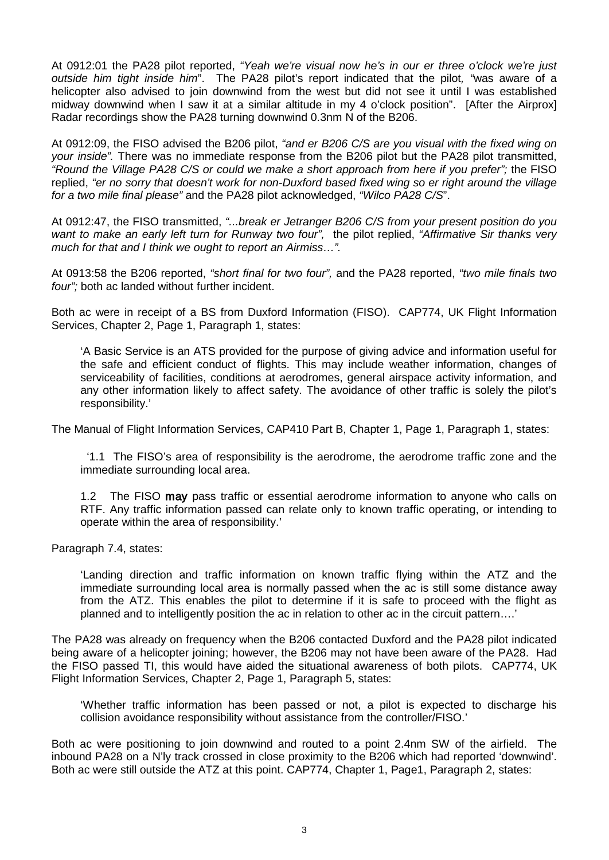At 0912:01 the PA28 pilot reported, *"Yeah we're visual now he's in our er three o'clock we're just outside him tight inside him*". The PA28 pilot's report indicated that the pilot*, "*was aware of a helicopter also advised to join downwind from the west but did not see it until I was established midway downwind when I saw it at a similar altitude in my 4 o'clock position". [After the Airprox] Radar recordings show the PA28 turning downwind 0.3nm N of the B206.

At 0912:09, the FISO advised the B206 pilot, *"and er B206 C/S are you visual with the fixed wing on your inside"*. There was no immediate response from the B206 pilot but the PA28 pilot transmitted, *"Round the Village PA28 C/S or could we make a short approach from here if you prefer";* the FISO replied, *"er no sorry that doesn't work for non-Duxford based fixed wing so er right around the village for a two mile final please"* and the PA28 pilot acknowledged, *"Wilco PA28 C/S*".

At 0912:47, the FISO transmitted, *"...break er Jetranger B206 C/S from your present position do you want to make an early left turn for Runway two four",* the pilot replied, *"Affirmative Sir thanks very much for that and I think we ought to report an Airmiss…".*

At 0913:58 the B206 reported, *"short final for two four",* and the PA28 reported, *"two mile finals two four";* both ac landed without further incident.

Both ac were in receipt of a BS from Duxford Information (FISO). CAP774, UK Flight Information Services, Chapter 2, Page 1, Paragraph 1, states:

'A Basic Service is an ATS provided for the purpose of giving advice and information useful for the safe and efficient conduct of flights. This may include weather information, changes of serviceability of facilities, conditions at aerodromes, general airspace activity information, and any other information likely to affect safety. The avoidance of other traffic is solely the pilot's responsibility.'

The Manual of Flight Information Services, CAP410 Part B, Chapter 1, Page 1, Paragraph 1, states:

 '1.1 The FISO's area of responsibility is the aerodrome, the aerodrome traffic zone and the immediate surrounding local area.

1.2 The FISO may pass traffic or essential aerodrome information to anyone who calls on RTF. Any traffic information passed can relate only to known traffic operating, or intending to operate within the area of responsibility.'

Paragraph 7.4, states:

'Landing direction and traffic information on known traffic flying within the ATZ and the immediate surrounding local area is normally passed when the ac is still some distance away from the ATZ. This enables the pilot to determine if it is safe to proceed with the flight as planned and to intelligently position the ac in relation to other ac in the circuit pattern….'

The PA28 was already on frequency when the B206 contacted Duxford and the PA28 pilot indicated being aware of a helicopter joining; however, the B206 may not have been aware of the PA28. Had the FISO passed TI, this would have aided the situational awareness of both pilots. CAP774, UK Flight Information Services, Chapter 2, Page 1, Paragraph 5, states:

'Whether traffic information has been passed or not, a pilot is expected to discharge his collision avoidance responsibility without assistance from the controller/FISO.'

Both ac were positioning to join downwind and routed to a point 2.4nm SW of the airfield. The inbound PA28 on a N'ly track crossed in close proximity to the B206 which had reported 'downwind'. Both ac were still outside the ATZ at this point. CAP774, Chapter 1, Page1, Paragraph 2, states: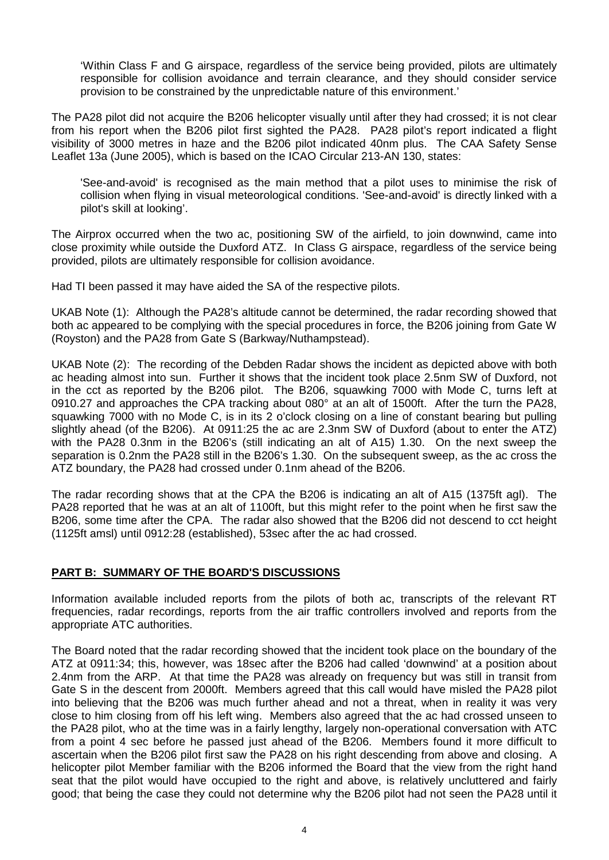'Within Class F and G airspace, regardless of the service being provided, pilots are ultimately responsible for collision avoidance and terrain clearance, and they should consider service provision to be constrained by the unpredictable nature of this environment.'

The PA28 pilot did not acquire the B206 helicopter visually until after they had crossed; it is not clear from his report when the B206 pilot first sighted the PA28. PA28 pilot's report indicated a flight visibility of 3000 metres in haze and the B206 pilot indicated 40nm plus. The CAA Safety Sense Leaflet 13a (June 2005), which is based on the ICAO Circular 213-AN 130, states:

'See-and-avoid' is recognised as the main method that a pilot uses to minimise the risk of collision when flying in visual meteorological conditions. 'See-and-avoid' is directly linked with a pilot's skill at looking'.

The Airprox occurred when the two ac, positioning SW of the airfield, to join downwind, came into close proximity while outside the Duxford ATZ. In Class G airspace, regardless of the service being provided, pilots are ultimately responsible for collision avoidance.

Had TI been passed it may have aided the SA of the respective pilots.

UKAB Note (1): Although the PA28's altitude cannot be determined, the radar recording showed that both ac appeared to be complying with the special procedures in force, the B206 joining from Gate W (Royston) and the PA28 from Gate S (Barkway/Nuthampstead).

UKAB Note (2): The recording of the Debden Radar shows the incident as depicted above with both ac heading almost into sun. Further it shows that the incident took place 2.5nm SW of Duxford, not in the cct as reported by the B206 pilot. The B206, squawking 7000 with Mode C, turns left at 0910.27 and approaches the CPA tracking about 080° at an alt of 1500ft. After the turn the PA28, squawking 7000 with no Mode C, is in its 2 o'clock closing on a line of constant bearing but pulling slightly ahead (of the B206). At 0911:25 the ac are 2.3nm SW of Duxford (about to enter the ATZ) with the PA28 0.3nm in the B206's (still indicating an alt of A15) 1.30. On the next sweep the separation is 0.2nm the PA28 still in the B206's 1.30. On the subsequent sweep, as the ac cross the ATZ boundary, the PA28 had crossed under 0.1nm ahead of the B206.

The radar recording shows that at the CPA the B206 is indicating an alt of A15 (1375ft agl). The PA28 reported that he was at an alt of 1100ft, but this might refer to the point when he first saw the B206, some time after the CPA. The radar also showed that the B206 did not descend to cct height (1125ft amsl) until 0912:28 (established), 53sec after the ac had crossed.

## **PART B: SUMMARY OF THE BOARD'S DISCUSSIONS**

Information available included reports from the pilots of both ac, transcripts of the relevant RT frequencies, radar recordings, reports from the air traffic controllers involved and reports from the appropriate ATC authorities.

The Board noted that the radar recording showed that the incident took place on the boundary of the ATZ at 0911:34; this, however, was 18sec after the B206 had called 'downwind' at a position about 2.4nm from the ARP. At that time the PA28 was already on frequency but was still in transit from Gate S in the descent from 2000ft. Members agreed that this call would have misled the PA28 pilot into believing that the B206 was much further ahead and not a threat, when in reality it was very close to him closing from off his left wing. Members also agreed that the ac had crossed unseen to the PA28 pilot, who at the time was in a fairly lengthy, largely non-operational conversation with ATC from a point 4 sec before he passed just ahead of the B206. Members found it more difficult to ascertain when the B206 pilot first saw the PA28 on his right descending from above and closing. A helicopter pilot Member familiar with the B206 informed the Board that the view from the right hand seat that the pilot would have occupied to the right and above, is relatively uncluttered and fairly good; that being the case they could not determine why the B206 pilot had not seen the PA28 until it